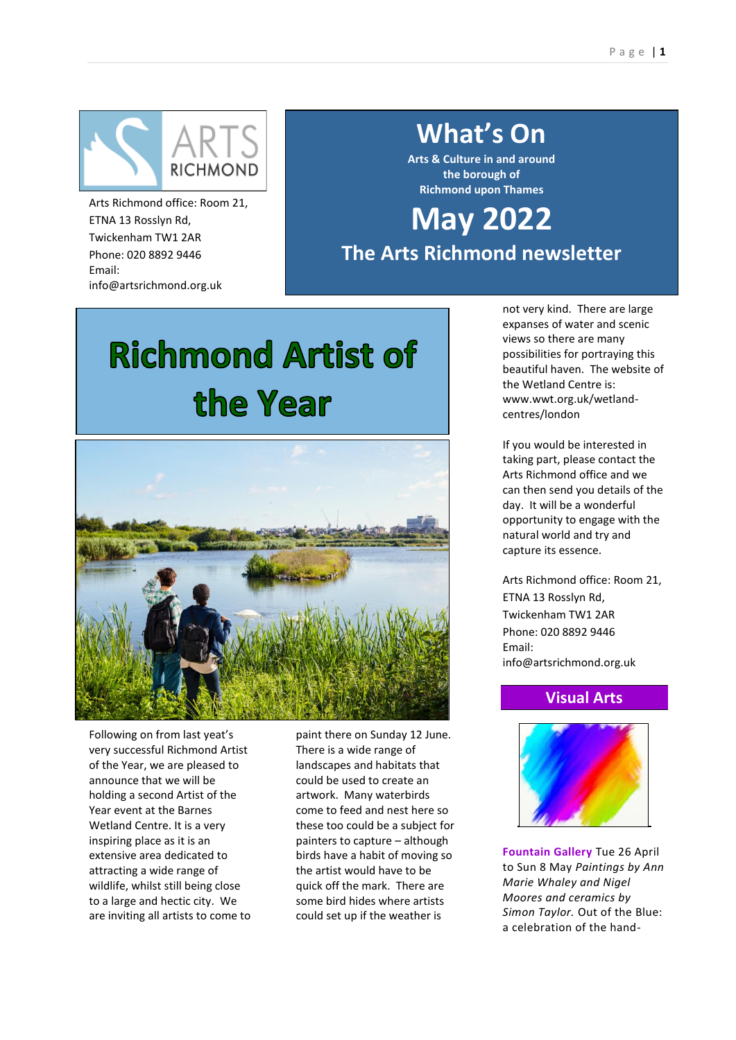

Arts Richmond office: Room 21, ETNA 13 Rosslyn Rd, Twickenham TW1 2AR Phone: 020 8892 9446 Email: info@artsrichmond.org.uk

## **What's On**

**Arts & Culture in and around the borough of Richmond upon Thames**

## **May 2022**

**The Arts Richmond newsletter**

# **Richmond Artist of** the Year



Following on from last yeat's very successful Richmond Artist of the Year, we are pleased to announce that we will be holding a second Artist of the Year event at the Barnes Wetland Centre. It is a very inspiring place as it is an extensive area dedicated to attracting a wide range of wildlife, whilst still being close to a large and hectic city. We are inviting all artists to come to paint there on Sunday 12 June. There is a wide range of landscapes and habitats that could be used to create an artwork. Many waterbirds come to feed and nest here so these too could be a subject for painters to capture – although birds have a habit of moving so the artist would have to be quick off the mark. There are some bird hides where artists could set up if the weather is

not very kind. There are large expanses of water and scenic views so there are many possibilities for portraying this beautiful haven. The website of the Wetland Centre is: www.wwt.org.uk/wetlandcentres/london

If you would be interested in taking part, please contact the Arts Richmond office and we can then send you details of the day. It will be a wonderful opportunity to engage with the natural world and try and capture its essence.

Arts Richmond office: Room 21, ETNA 13 Rosslyn Rd, Twickenham TW1 2AR Phone: 020 8892 9446 Email: info@artsrichmond.org.uk

## **Visual Arts**



**Fountain Gallery** Tue 26 April to Sun 8 May *Paintings by Ann Marie Whaley and Nigel Moores and ceramics by Simon Taylor.* Out of the Blue: a celebration of the hand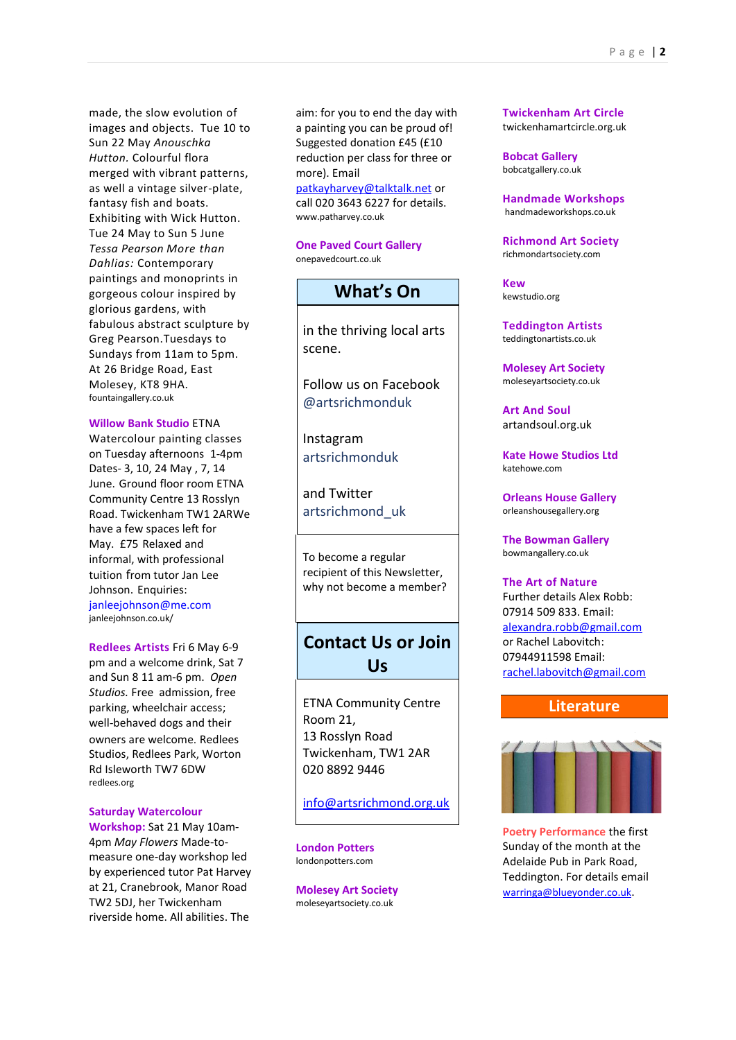made, the slow evolution of images and objects. Tue 10 to Sun 22 May *[Anouschka](https://www.fountaingallery.co.uk/exhibitions/anouschka-hutton22)  [Hutton.](https://www.fountaingallery.co.uk/exhibitions/anouschka-hutton22)* Colourful flora merged with vibrant patterns, as well a vintage silver-plate, fantasy fish and boats. Exhibiting with Wick Hutton. [Tue 24 May to Sun 5 June](https://www.fountaingallery.co.uk/exhibitions/tessa-pearson)  *[Tessa Pearson](https://www.fountaingallery.co.uk/exhibitions/tessa-pearson) More than Dahlias:* Contemporary paintings and monoprints in gorgeous colour inspired by glorious gardens, with fabulous abstract sculpture by Greg Pearson.Tuesdays to Sundays from 11am to 5pm. At 26 Bridge Road, East Molesey, KT8 9HA. fountaingallery.co.uk

#### **Willow Bank Studio** ETNA

Watercolour painting classes on Tuesday afternoons 1-4pm Dates- 3, 10, 24 May , 7, 14 June. Ground floor room ETNA Community Centre 13 Rosslyn Road. Twickenham TW1 2ARWe have a few spaces left for May. £75 Relaxed and informal, with professional tuition from tutor Jan Lee Johnson. Enquiries: [janleejohnson@me.com](mailto:janleejohnson@me.com) [janleejohnson.co.uk/](https://www.janleejohnson.co.uk/)

**Redlees Artists** Fri 6 May 6-9 pm and a welcome drink, Sat 7 and Sun 8 11 am-6 pm. *Open Studios.* Free admission, free parking, wheelchair access; well-behaved dogs and their owners are welcome. Redlees Studios, Redlees Park, Worton Rd Isleworth TW7 6DW redlees.org

#### **Saturday Watercolour**

**Workshop:** Sat 21 May 10am-4pm *May Flowers* Made-tomeasure one-day workshop led by experienced tutor Pat Harvey at 21, Cranebrook, Manor Road TW2 5DJ, her Twickenham riverside home. All abilities. The

aim: for you to end the day with a painting you can be proud of! Suggested donation £45 (£10 reduction per class for three or more). Email [patkayharvey@talktalk.net](mailto:patkayharvey@talktalk.net) or

call 020 3643 6227 for details. www.patharvey.co.uk

**One Paved Court Gallery** onepavedcourt.co.uk

## **What's On**

in the thriving local arts scene.

Follow us on Facebook @artsrichmonduk

Instagram artsrichmonduk

and Twitter artsrichmond\_uk

To become a regular recipient of this Newsletter, why not become a member?

## **Contact Us or Join Us**

ETNA Community Centre Room 21, 13 Rosslyn Road Twickenham, TW1 2AR 020 8892 9446

[info@artsrichmond.org.uk](mailto:info@artsrichmond.org.uk)

**London Potters** londonpotters.com

**Molesey Art Society** [moleseyartsociety.co.uk](http://www.moleseyartsociety.co.uk/)

**Twickenham Art Circle**  twickenhamartcircle.org.uk

**Bobcat Gallery** bobcatgallery.co.uk

**Handmade Workshops**  [handmadeworkshops.co.uk](https://handmadeworkshops.co.uk/)

**Richmond Art Society** richmondartsociety.com

**Kew**  kewstudio.org

**Teddington Artists** teddingtonartists.co.uk

**Molesey Art Society** [moleseyartsociety.co.uk](http://www.moleseyartsociety.co.uk/)

**Art And Soul** [artandsoul.org.uk](https://www.artandsoul.org.uk/)

**Kate Howe Studios Ltd**  [katehowe.com](http://katehowe.com/)

**Orleans House Gallery** orleanshousegallery.org

**The Bowman Gallery** bowmangallery.co.uk

#### **The Art of Nature**

Further details Alex Robb: 07914 509 833. Email: [alexandra.robb@gmail.com](mailto:alexandra.robb@gmail.com) or Rachel Labovitch: 07944911598 Email: [rachel.labovitch@gmail.com](mailto:rachel.labovitch@gmail.com)

#### **Literature**



**Poetry Performance** the first Sunday of the month at the Adelaide Pub in Park Road, Teddington. For details email [warringa@blueyonder.co.uk](mailto:warringa@blueyonder.co.uk).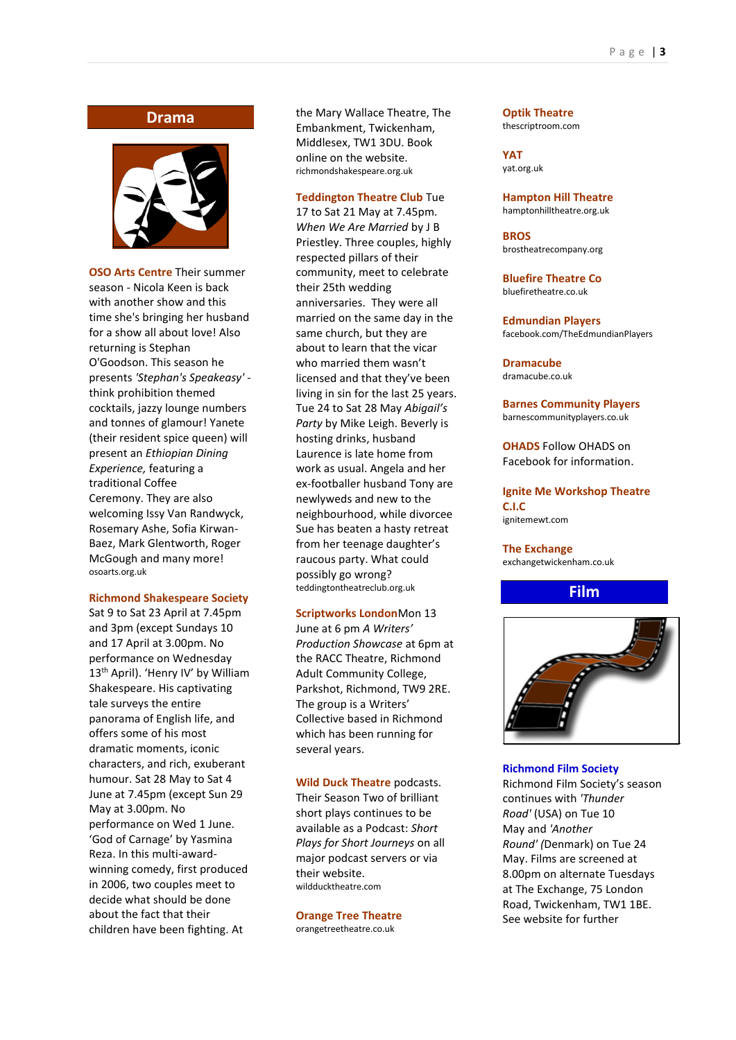#### **Drama**



**OSO Arts Centre** Their summer season *-* Nicola Keen is back with another show and this time she's bringing her husband for a show all about love! Also returning is Stephan O'Goodson. This season he presents *'Stephan's Speakeasy'*  think prohibition themed cocktails, jazzy lounge numbers and tonnes of glamour! Yanete (their resident spice queen) will present an *Ethiopian Dining Experience,* featuring a traditional Coffee Ceremony. They are also welcoming Issy Van Randwyck, Rosemary Ashe, Sofia Kirwan-Baez, Mark Glentworth, Roger McGough and many more! osoarts.org.uk

#### **Richmond Shakespeare Society**

Sat 9 to Sat 23 April at 7.45pm and 3pm (except Sundays 10 and 17 April at 3.00pm. No performance on Wednesday 13<sup>th</sup> April). 'Henry IV' by William Shakespeare. His captivating tale surveys the entire panorama of English life, and offers some of his most dramatic moments, iconic characters, and rich, exuberant humour. Sat 28 May to Sat 4 June at 7.45pm (except Sun 29 May at 3.00pm. No performance on Wed 1 June. 'God of Carnage' by Yasmina Reza. In this multi-awardwinning comedy, first produced in 2006, two couples meet to decide what should be done about the fact that their children have been fighting. At

the Mary Wallace Theatre, The Embankment, Twickenham, Middlesex, TW1 3DU. Book online on the website. [richmondshakespeare.org.uk](http://www.richmondshakespeare.org.uk/)

#### **Teddington Theatre Club** Tue

17 to Sat 21 May at 7.45pm. *When We Are Married* by J B Priestley. Three couples, highly respected pillars of their community, meet to celebrate their 25th wedding anniversaries. They were all married on the same day in the same church, but they are about to learn that the vicar who married them wasn't licensed and that they've been living in sin for the last 25 years. Tue 24 to Sat 28 May *Abigail's Party* by Mike Leigh. Beverly is hosting drinks, husband Laurence is late home from work as usual. Angela and her ex-footballer husband Tony are newlyweds and new to the neighbourhood, while divorcee Sue has beaten a hasty retreat from her teenage daughter's raucous party. What could possibly go wrong? teddingtontheatreclub.org.uk

#### **Scriptworks London**Mon 13

June at 6 pm *A Writers' Production Showcase* at 6pm at the RACC Theatre, Richmond Adult Community College, Parkshot, Richmond, TW9 2RE. The group is a Writers' Collective based in Richmond which has been running for several years.

**Wild Duck Theatre** podcasts. Their Season Two of brilliant short plays continues to be available as a Podcast: *Short Plays for Short Journeys* on all major podcast servers or via their website. wildducktheatre.com

**Orange Tree Theatre** orangetreetheatre.co.uk

**Optik Theatre** thescriptroom.com

**YAT**  yat.org.uk

**Hampton Hill Theatre** hamptonhilltheatre.org.uk

**BROS**  brostheatrecompany.org

**Bluefire Theatre Co** bluefiretheatre.co.uk

**Edmundian Players**  facebook.com/TheEdmundianPlayers

**Dramacube** [dramacube.co.uk](http://www.dramacube.co.uk/)

**Barnes Community Players**  barnescommunityplayers.co.uk

**OHADS** Follow OHADS on Facebook for information.

**Ignite Me Workshop Theatre C.I.C** [ignitemewt.com](https://www.ignitemewt.com/)

**The Exchange**

exchangetwickenham.co.uk

**Film**



#### **Richmond Film Society**

Richmond Film Society's season continues with *'Thunder Road'* (USA) on Tue 10 May and *'Another Round' (*Denmark) on Tue 24 May. Films are screened at 8.00pm on alternate Tuesdays at The Exchange, 75 London Road, Twickenham, TW1 1BE. See website for further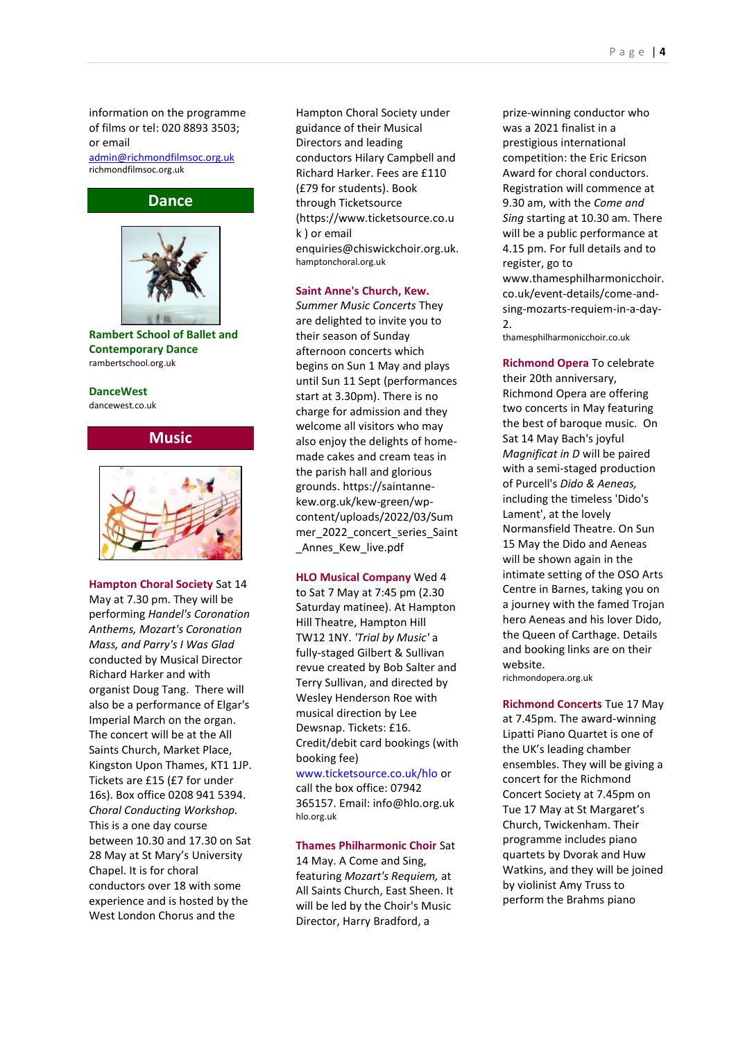information on the programme of films or tel: 020 8893 3503; or email

[admin@richmondfilmsoc.org.uk](mailto:admin@richmondfilmsoc.org.uk) [richmondfilmsoc.org.uk](https://www.richmondfilmsoc.org.uk/)



**Rambert School of Ballet and Contemporary Dance** rambertschool.org.uk

#### **DanceWest**

[dancewest.co.uk](http://www.dancewest.co.uk/)





**Hampton Choral Society** Sat 14 May at 7.30 pm. They will be performing *Handel's Coronation Anthems, Mozart's Coronation Mass, and Parry's I Was Glad* conducted by Musical Director Richard Harker and with organist Doug Tang. There will also be a performance of Elgar's Imperial March on the organ. The concert will be at the All Saints Church, Market Place, Kingston Upon Thames, KT1 1JP. Tickets are £15 (£7 for under 16s). Box office 0208 941 5394. *Choral Conducting Workshop.* This is a one day course between 10.30 and 17.30 on Sat 28 May at St Mary's University Chapel. It is for choral conductors over 18 with some experience and is hosted by the West London Chorus and the

Hampton Choral Society under guidance of their Musical Directors and leading conductors Hilary Campbell and Richard Harker. Fees are £110 (£79 for students). Book through Ticketsource (https://www.ticketsource.co.u k ) or email enquiries@chiswickchoir.org.uk. hamptonchoral.org.uk

**Saint Anne's Church, Kew.**

*Summer Music Concerts* They are delighted to invite you to their season of Sunday afternoon concerts which begins on Sun 1 May and plays until Sun 11 Sept (performances start at 3.30pm). There is no charge for admission and they welcome all visitors who may also enjoy the delights of homemade cakes and cream teas in the parish hall and glorious grounds. https://saintannekew.org.uk/kew-green/wpcontent/uploads/2022/03/Sum mer 2022 concert series Saint \_Annes\_Kew\_live.pdf

#### **HLO Musical Company** Wed 4

to Sat 7 May at 7:45 pm (2.30 Saturday matinee). At Hampton Hill Theatre, Hampton Hill [TW12 1NY.](https://www.google.co.uk/maps/place/TW12%201NY) *'Trial by Music'* a fully-staged Gilbert & Sullivan revue created by Bob Salter and Terry Sullivan, and directed by Wesley Henderson Roe with musical direction by Lee Dewsnap. Tickets: £16. Credit/debit card bookings (with booking fee)

[www.ticketsource.co.uk/hlo](http://www.ticketsource.co.uk/hlo) or call the box office: 07942

365157. Email: info@hlo.org.uk [hlo.org.uk](http://www.hlo.org.uk/)

#### **Thames Philharmonic Choir** Sat

14 May. A Come and Sing, featuring *Mozart's Requiem,* at All Saints Church, East Sheen. It will be led by the Choir's Music Director, Harry Bradford, a

prize-winning conductor who was a 2021 finalist in a prestigious international competition: the Eric Ericson Award for choral conductors. Registration will commence at 9.30 am, with the *Come and Sing* starting at 10.30 am. There will be a public performance at 4.15 pm. For full details and to register, go to www.thamesphilharmonicchoir. co.uk/event-details/come-andsing-mozarts-requiem-in-a-day-2.

thamesphilharmonicchoir.co.uk

**Richmond Opera** To celebrate their 20th anniversary, Richmond Opera are offering two concerts in May featuring the best of baroque music. On Sat 14 May Bach's joyful *Magnificat in D* will be paired with a semi-staged production of Purcell's *Dido & Aeneas,* including the timeless 'Dido's Lament', at the lovely Normansfield Theatre. On Sun 15 May the Dido and Aeneas will be shown again in the intimate setting of the OSO Arts Centre in Barnes, taking you on a journey with the famed Trojan hero Aeneas and his lover Dido, the Queen of Carthage. Details and booking links are on their website. richmondopera.org.uk

**Richmond Concerts** Tue 17 May at 7.45pm. The award-winning Lipatti Piano Quartet is one of the UK's leading chamber ensembles. They will be giving a concert for the Richmond Concert Society at 7.45pm on Tue 17 May at St Margaret's Church, Twickenham. Their programme includes piano quartets by Dvorak and Huw Watkins, and they will be joined by violinist Amy Truss to perform the Brahms piano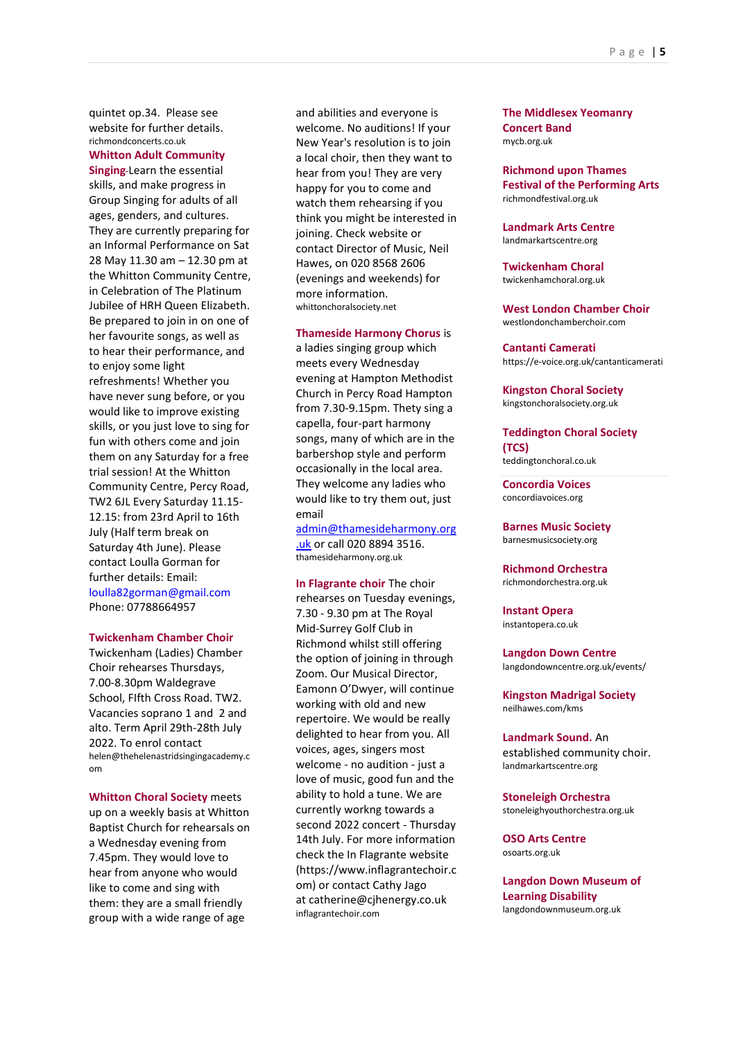quintet op.34. Please see website for further details. richmondconcerts.co.uk

#### **Whitton Adult Community**

**Singing** Learn the essential skills, and make progress in Group Singing for adults of all ages, genders, and cultures. They are currently preparing for an Informal Performance on Sat 28 May 11.30 am – 12.30 pm at the Whitton Community Centre, in Celebration of The Platinum Jubilee of HRH Queen Elizabeth. Be prepared to join in on one of her favourite songs, as well as to hear their performance, and to enjoy some light refreshments! Whether you have never sung before, or you would like to improve existing skills, or you just love to sing for fun with others come and join them on any Saturday for a free trial session! At the Whitton Community Centre, Percy Road, TW2 6JL Every Saturday 11.15- 12.15: from 23rd April to 16th July (Half term break on Saturday 4th June). Please contact Loulla Gorman for further details: Email: [loulla82gorman@gmail.com](mailto:loulla82gorman@gmail.com) Phone: 07788664957

#### **Twickenham Chamber Choir**

Twickenham (Ladies) Chamber Choir rehearses Thursdays, 7.00-8.30pm Waldegrave School, FIfth Cross Road. TW2. Vacancies soprano 1 and 2 and alto. Term April 29th-28th July 2022. To enrol contact [helen@thehelenastridsingingacademy.c](mailto:helen@thehelenastridsingingacademy.com) [om](mailto:helen@thehelenastridsingingacademy.com)

**Whitton Choral Society** meets up on a weekly basis at Whitton Baptist Church for rehearsals on a Wednesday evening from 7.45pm. They would love to hear from anyone who would like to come and sing with them: they are a small friendly group with a wide range of age

and abilities and everyone is welcome. No auditions! If your New Year's resolution is to join a local choir, then they want to hear from you! They are very happy for you to come and watch them rehearsing if you think you might be interested in joining. Check website or contact Director of Music, Neil Hawes, on 020 8568 2606 (evenings and weekends) for more information. whittonchoralsociety.net

#### **Thameside Harmony Chorus** is

a ladies singing group which meets every Wednesday evening at Hampton Methodist Church in Percy Road Hampton from 7.30-9.15pm. Thety sing a capella, four-part harmony songs, many of which are in the barbershop style and perform occasionally in the local area. They welcome any ladies who would like to try them out, just email

[admin@thamesideharmony.org](mailto:admin@thamesideharmony.org.uk)

[.uk](mailto:admin@thamesideharmony.org.uk) or call 020 8894 3516. thamesideharmony.org.uk

**In Flagrante choir** The choir rehearses on Tuesday evenings, 7.30 - 9.30 pm at The Royal Mid-Surrey Golf Club in Richmond whilst still offering the option of joining in through Zoom. Our Musical Director, Eamonn O'Dwyer, will continue working with old and new repertoire. We would be really delighted to hear from you. All voices, ages, singers most welcome - no audition - just a love of music, good fun and the ability to hold a tune. We are currently workng towards a second 2022 concert - Thursday 14th July. For more information check the In Flagrante website (https://www.inflagrantechoir.c om) or contact Cathy Jago at catherine@cjhenergy.co.uk [inflagrantechoir.com](https://www.inflagrantechoir.com/)

**The Middlesex Yeomanry Concert Band** mycb.org.uk

**Richmond upon Thames Festival of the Performing Arts**  [richmondfestival.org.uk](http://www.richmondfestival.org.uk/)

**Landmark Arts Centre** [landmarkartscentre.org](http://landmarkartscentre.org/)

**Twickenham Choral** twickenhamchoral.org.uk

**West London Chamber Choir** [westlondonchamberchoir.com](http://www.westlondonchamberchoir.com/)

**Cantanti Camerati** https://e-voice.org.uk/cantanticamerati

**Kingston Choral Society** kingstonchoralsociety.org.uk

**Teddington Choral Society (TCS)**  teddingtonchoral.co.uk

**Concordia Voices**  [concordiavoices.org](http://www.concordiavoices.org/)

**Barnes Music Society** [barnesmusicsociety.org](http://www.barnesmusicsociety.org/)

**Richmond Orchestra**  richmondorchestra.org.uk

**Instant Opera** instantopera.co.uk

**Langdon Down Centre** langdondowncentre.org.uk/events/

**Kingston Madrigal Society** neilhawes.com/kms

**Landmark Sound.** An established community choir. landmarkartscentre.org

**Stoneleigh Orchestra** [stoneleighyouthorchestra.org.uk](http://stoneleighyouthorchestra.org.uk/workshop-signup)

**OSO Arts Centre**  osoarts.org.uk

**Langdon Down Museum of Learning Disability** langdondownmuseum.org.uk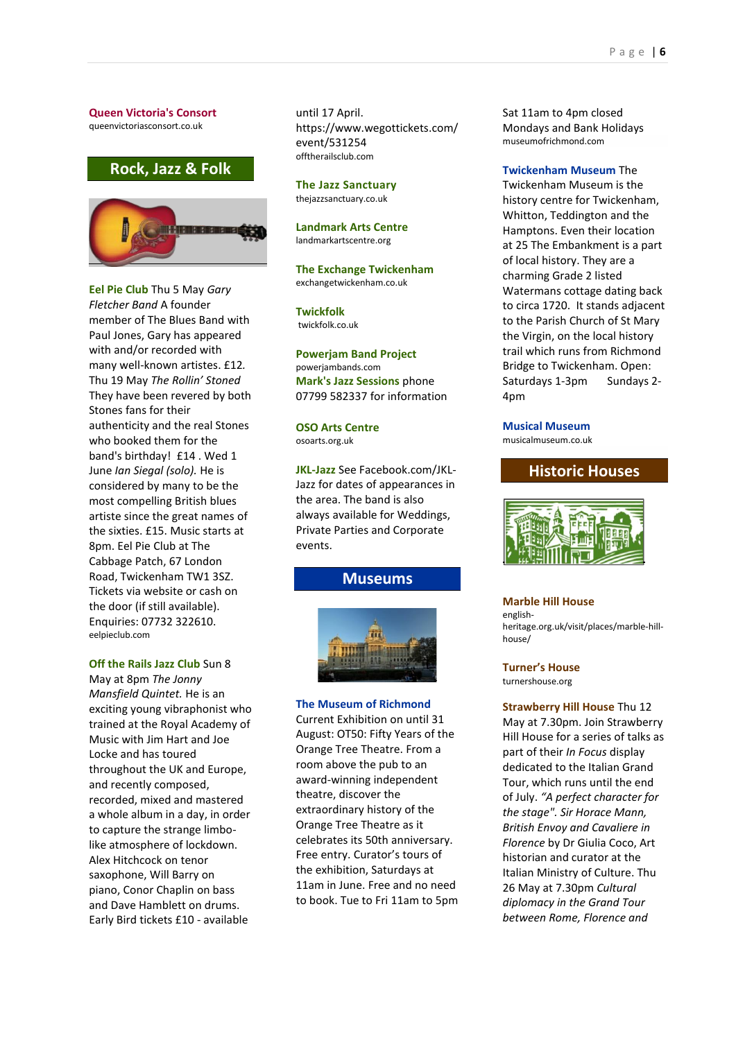#### **Queen Victoria's Consort** queenvictoriasconsort.co.uk

## **Rock, Jazz & Folk**



**Eel Pie Club** Thu 5 May *Gary Fletcher Band* A founder member of The Blues Band with Paul Jones, Gary has appeared with and/or recorded with many well-known artistes. £12*.*  Thu 19 May *The Rollin' Stoned* They have been revered by both Stones fans for their authenticity and the real Stones who booked them for the band's birthday! £14 . Wed 1 June *Ian Siegal (solo).* He is considered by many to be the most compelling British blues artiste since the great names of the sixties. £15. Music starts at 8pm. Eel Pie Club at The Cabbage Patch, 67 London Road, Twickenham TW1 3SZ. Tickets via website or cash on the door (if still available). Enquiries: 07732 322610. [eelpieclub.com](http://www.eelpieclub.com/)

#### **Off the Rails Jazz Club** Sun 8

May at 8pm *The Jonny Mansfield Quintet.* He is an exciting young vibraphonist who trained at the Royal Academy of Music with Jim Hart and Joe Locke and has toured throughout the UK and Europe, and recently composed, recorded, mixed and mastered a whole album in a day, in order to capture the strange limbolike atmosphere of lockdown. Alex Hitchcock on tenor saxophone, Will Barry on piano, Conor Chaplin on bass and Dave Hamblett on drums. Early Bird tickets £10 - available

until 17 April. https://www.wegottickets.com/ event/531254 offtherailsclub.com

**The Jazz Sanctuary** [thejazzsanctuary.co.uk](http://www.thejazzsanctuary.co.uk/)

**Landmark Arts Centre** landmarkartscentre.org

**The Exchange Twickenham** exchangetwickenham.co.uk

**Twickfolk** [twickfolk.co.uk](http://www.twickfolk.co.uk/)

**Powerjam Band Project**  powerjambands.com **Mark's Jazz Sessions** phone 07799 582337 for information

**OSO Arts Centre**  osoarts.org.uk

**JKL-Jazz** See Facebook.com/JKL-Jazz for dates of appearances in the area. The band is also always available for Weddings, Private Parties and Corporate events.

#### **Museums**



**The Museum of Richmond** Current Exhibition on until 31 August: OT50: Fifty Years of the Orange Tree Theatre. From a room above the pub to an award-winning independent theatre, discover the extraordinary history of the Orange Tree Theatre as it celebrates its 50th anniversary. Free entry. Curator's tours of the exhibition, Saturdays at 11am in June. Free and no need to book. Tue to Fri 11am to 5pm Sat 11am to 4pm closed Mondays and Bank Holidays museumofrichmond.com

#### **Twickenham Museum** The

Twickenham Museum is the history centre for Twickenham, Whitton, Teddington and the Hamptons. Even their location at 25 The Embankment is a part of local history. They are a charming Grade 2 listed Watermans cottage dating back to circa 1720. It stands adjacent to the Parish Church of St Mary the Virgin, on the local history trail which runs from Richmond Bridge to Twickenham. Open: Saturdays 1-3pm Sundays 2- 4pm

## **Musical Museum**

musicalmuseum.co.uk

#### **Historic Houses**



#### **Marble Hill House**

englishheritage.org.uk/visit/places/marble-hillhouse/

## **Turner's House**

turnershouse.org

**Strawberry Hill House** Thu 12 May at 7.30pm. Join Strawberry Hill House for a series of talks as part of their *In Focus* display dedicated to the Italian Grand Tour, which runs until the end of July. *"A perfect character for the stage". Sir Horace Mann, British Envoy and Cavaliere in Florence* by Dr Giulia Coco, Art historian and curator at the Italian Ministry of Culture. Thu 26 May at 7.30pm *Cultural diplomacy in the Grand Tour between Rome, Florence and*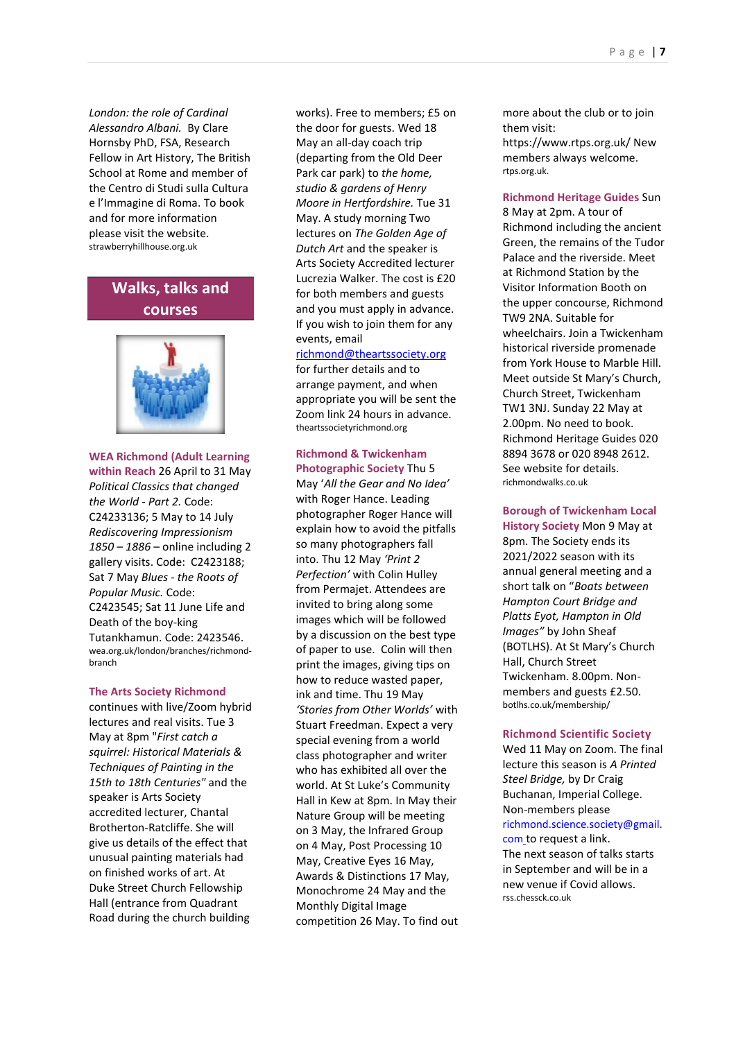*London: the role of Cardinal Alessandro Albani.* By Clare Hornsby PhD, FSA, Research Fellow in Art History, The British School at Rome and member of the Centro di Studi sulla Cultura e l'Immagine di Roma. To book and for more information please visit the website. strawberryhillhouse.org.uk

## **Walks, talks and courses**



#### **WEA Richmond (Adult Learning**

**within Reach** 26 April to 31 May *Political Classics that changed the World - Part 2.* Code: C24233136; 5 May to 14 July *Rediscovering Impressionism 1850 – 1886* – online including 2 gallery visits. Code: C2423188; Sat 7 May *Blues - the Roots of Popular Music.* Code: C2423545; Sat 11 June Life and Death of the boy-king Tutankhamun. Code: 2423546. wea.org.uk/london/branches/richmondbranch

#### **The Arts Society Richmond**

continues with live/Zoom hybrid lectures and real visits. Tue 3 May at 8pm "*First catch a squirrel: Historical Materials & Techniques of Painting in the 15th to 18th Centuries"* and the speaker is Arts Society accredited lecturer, Chantal Brotherton-Ratcliffe. She will give us details of the effect that unusual painting materials had on finished works of art. At Duke Street Church Fellowship Hall (entrance from Quadrant Road during the church building

works). Free to members; £5 on the door for guests. Wed 18 May an all-day coach trip (departing from the Old Deer Park car park) to *the home, studio & gardens of Henry Moore in Hertfordshire.* Tue 31 May. A study morning Two lectures on *The Golden Age of Dutch Art* and the speaker is Arts Society Accredited lecturer Lucrezia Walker. The cost is £20 for both members and guests and you must apply in advance. If you wish to join them for any events, email

#### [richmond@theartssociety.org](mailto:richmond@theartssociety.org)

for further details and to arrange payment, and when appropriate you will be sent the Zoom link 24 hours in advance. theartssocietyrichmond.org

## **Richmond & Twickenham**

**Photographic Society** Thu 5 May '*All the Gear and No Idea'* with Roger Hance. Leading photographer Roger Hance will explain how to avoid the pitfalls so many photographers fall into. Thu 12 May *'Print 2 Perfection'* with Colin Hulley from Permajet. Attendees are invited to bring along some images which will be followed by a discussion on the best type of paper to use. Colin will then print the images, giving tips on how to reduce wasted paper, ink and time. Thu 19 May *'Stories from Other Worlds'* with Stuart Freedman. Expect a very special evening from a world class photographer and writer who has exhibited all over the world. At St Luke's Community Hall in Kew at 8pm. In May their Nature Group will be meeting on 3 May, the Infrared Group on 4 May, Post Processing 10 May, Creative Eyes 16 May, Awards & Distinctions 17 May, Monochrome 24 May and the Monthly Digital Image competition 26 May. To find out more about the club or to join them visit:

https://www.rtps.org.uk/ New members always welcome. [rtps.org.uk.](http://www.rtps.org.uk/)

**Richmond Heritage Guides** Sun 8 May at 2pm. A tour of Richmond including the ancient Green, the remains of the Tudor Palace and the riverside. Meet at Richmond Station by the Visitor Information Booth on the upper concourse, Richmond TW9 2NA. Suitable for wheelchairs. Join a Twickenham historical riverside promenade from York House to Marble Hill. Meet outside St Mary's Church, Church Street, Twickenham TW1 3NJ. Sunday 22 May at 2.00pm. No need to book. Richmond Heritage Guides 020 8894 3678 or 020 8948 2612. See website for details. [richmondwalks.co.uk](http://www.richmondwalks.co.uk/)

**Borough of Twickenham Local History Society** Mon 9 May at 8pm. The Society ends its 2021/2022 season with its annual general meeting and a short talk on "*Boats between Hampton Court Bridge and Platts Eyot, Hampton in Old Images"* by John Sheaf (BOTLHS). At St Mary's Church Hall, Church Street Twickenham. 8.00pm. Nonmembers and guests £2.50. [botlhs.co.uk/membership/](http://botlhs.co.uk/membership/)

#### **Richmond Scientific Society**

Wed 11 May on Zoom. The final lecture this season is *A Printed Steel Bridge,* by Dr Craig Buchanan, Imperial College. Non-members please [richmond.science.society@gmail.](mailto:richmond.science.society@gmail.com) [com](mailto:richmond.science.society@gmail.com) to request a link.

The next season of talks starts in September and will be in a new venue if Covid allows. rss.chessck.co.uk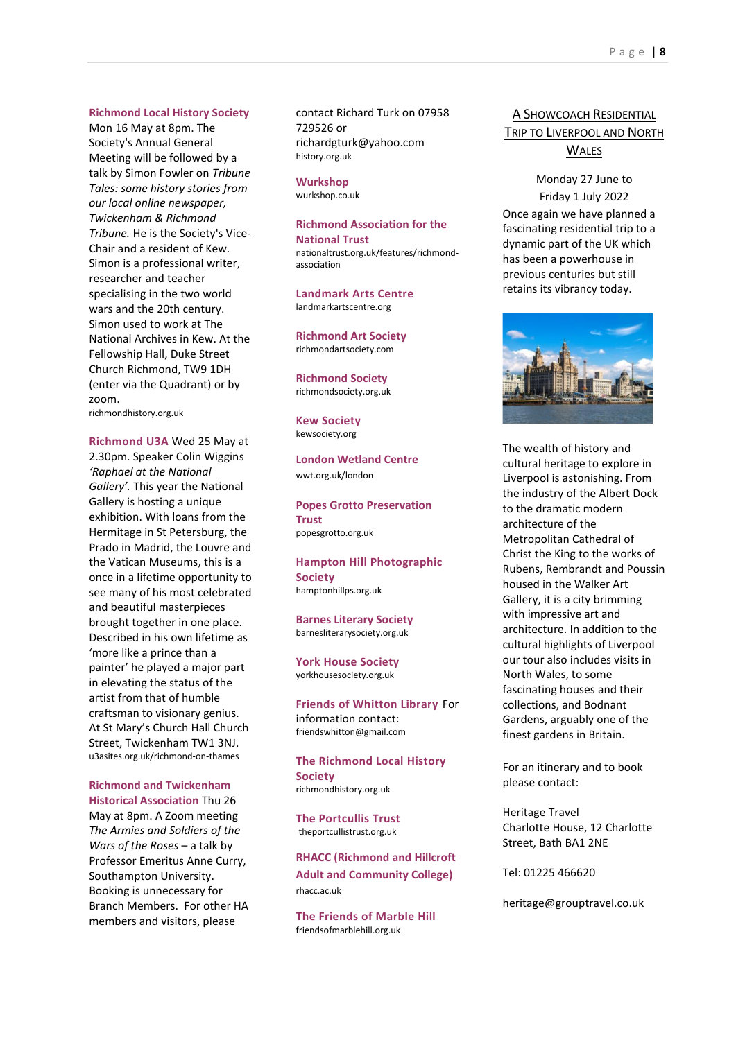#### **Richmond Local History Society**

Mon 16 May at 8pm. The Society's Annual General Meeting will be followed by a talk by Simon Fowler on *Tribune Tales: some history stories from our local online newspaper, Twickenham & Richmond Tribune.* He is the Society's Vice-Chair and a resident of Kew. Simon is a professional writer, researcher and teacher specialising in the two world wars and the 20th century. Simon used to work at The National Archives in Kew. At the Fellowship Hall, Duke Street Church Richmond, TW9 1DH (enter via the Quadrant) or by zoom.

richmondhistory.org.uk

**Richmond U3A** Wed 25 May at 2.30pm. Speaker Colin Wiggins *'Raphael at the National Gallery'.* This year the National Gallery is hosting a unique exhibition. With loans from the Hermitage in St Petersburg, the Prado in Madrid, the Louvre and the Vatican Museums, this is a once in a lifetime opportunity to see many of his most celebrated and beautiful masterpieces brought together in one place. Described in his own lifetime as 'more like a prince than a painter' he played a major part in elevating the status of the artist from that of humble craftsman to visionary genius. At St Mary's Church Hall Church Street, Twickenham TW1 3NJ. u3asites.org.uk/richmond-on-thames

#### **Richmond and Twickenham**

**Historical Association** Thu 26 May at 8pm. A Zoom meeting *The Armies and Soldiers of the Wars of the Roses* – a talk by Professor Emeritus Anne Curry, Southampton University. Booking is unnecessary for Branch Members. For other HA members and visitors, please

contact Richard Turk on 07958 729526 or richardgturk@yahoo.com history.org.uk

#### **Wurkshop**

[wurkshop.co.uk](http://www.wurkshop.co.uk/adults)

## **Richmond Association for the National Trust**

nationaltrust.org.uk/features/richmondassociation

**Landmark Arts Centre**  [landmarkartscentre.org](http://landmarkartscentre.org/)

**Richmond Art Society**  richmondartsociety.com

**Richmond Society** richmondsociety.org.uk

**Kew Society** [kewsociety.org](http://www.kewsociety.org/)

**London Wetland Centre**  [wwt.org.uk/london](http://www.wwt.org.uk/london)

**Popes Grotto Preservation Trust**  [popesgrotto.org.uk](https://popesgrotto.org.uk/luminaries/)

**Hampton Hill Photographic Society** hamptonhillps.org.uk

**Barnes Literary Society**  barnesliterarysociety.org.uk

**York House Society** yorkhousesociety.org.uk

**Friends of Whitton Library** For information contact: [friendswhitton@gmail.com](mailto:friendswhitton@gmail.com)

**The Richmond Local History Society** [richmondhistory.org.uk](http://richmondhistory.org.uk/)

**The Portcullis Trust**  [theportcullistrust.org.uk](https://www.theportcullistrust.org.uk/)

**RHACC (Richmond and Hillcroft Adult and Community College)**  rhacc.ac.uk

**The Friends of Marble Hill**  friendsofmarblehill.org.uk

## A SHOWCOACH RESIDENTIAL TRIP TO LIVERPOOL AND NORTH

#### **WALES**

Monday 27 June to Friday 1 July 2022 Once again we have planned a fascinating residential trip to a dynamic part of the UK which has been a powerhouse in previous centuries but still retains its vibrancy today.



The wealth of history and cultural heritage to explore in Liverpool is astonishing. From the industry of the Albert Dock to the dramatic modern architecture of the Metropolitan Cathedral of Christ the King to the works of Rubens, Rembrandt and Poussin housed in the Walker Art Gallery, it is a city brimming with impressive art and architecture. In addition to the cultural highlights of Liverpool our tour also includes visits in North Wales, to some fascinating houses and their collections, and Bodnant Gardens, arguably one of the finest gardens in Britain.

For an itinerary and to book please contact:

Heritage Travel Charlotte House, 12 Charlotte Street, Bath BA1 2NE

Tel: 01225 466620

heritage@grouptravel.co.uk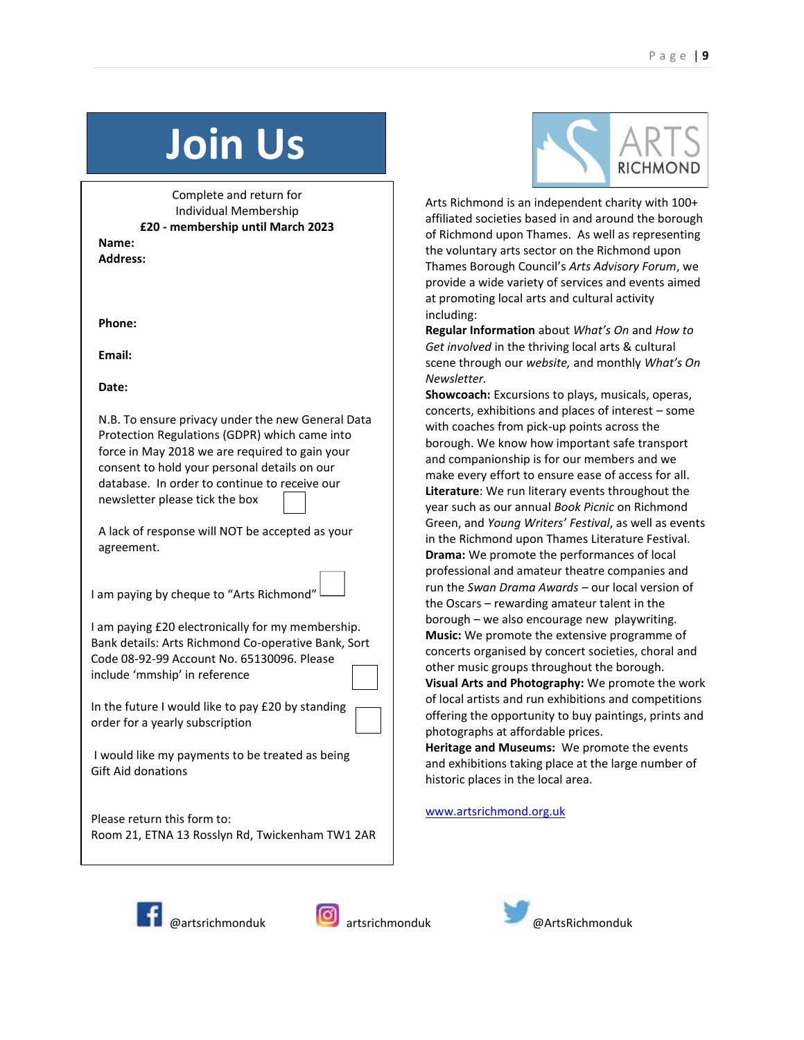# **Join Us**

Complete and return for Individual Membership **£20 - membership until March 2023**

**Name: Address:**

**Phone:**

**Email:**

**Date:**

N.B. To ensure privacy under the new General Data Protection Regulations (GDPR) which came into force in May 2018 we are required to gain your consent to hold your personal details on our database. In order to continue to receive our newsletter please tick the box

A lack of response will NOT be accepted as your agreement.

I am paying by cheque to "Arts Richmond"

I am paying £20 electronically for my membership. Bank details: Arts Richmond Co-operative Bank, Sort Code 08-92-99 Account No. 65130096. Please include 'mmship' in reference

In the future I would like to pay £20 by standing order for a yearly subscription

I would like my payments to be treated as being Gift Aid donations

Please return this form to: Room 21, ETNA 13 Rosslyn Rd, Twickenham TW1 2AR



Arts Richmond is an independent charity with 100+ affiliated societies based in and around the borough of Richmond upon Thames. As well as representing the voluntary arts sector on the Richmond upon Thames Borough Council's *Arts Advisory Forum*, we provide a wide variety of services and events aimed at promoting local arts and cultural activity including:

**Regular Information** about *What's On* and *How to Get involved* in the thriving local arts & cultural scene through our *website,* and monthly *What's On Newsletter.* 

**Showcoach:** Excursions to plays, musicals, operas, concerts, exhibitions and places of interest – some with coaches from pick-up points across the borough. We know how important safe transport and companionship is for our members and we make every effort to ensure ease of access for all. **Literature**: We run literary events throughout the year such as our annual *Book Picnic* on Richmond Green, and *Young Writers' Festival*, as well as events in the Richmond upon Thames Literature Festival. **Drama:** We promote the performances of local professional and amateur theatre companies and run the *Swan Drama Awards* – our local version of the Oscars – rewarding amateur talent in the borough – we also encourage new playwriting. **Music:** We promote the extensive programme of concerts organised by concert societies, choral and other music groups throughout the borough. **Visual Arts and Photography:** We promote the work of local artists and run exhibitions and competitions offering the opportunity to buy paintings, prints and photographs at affordable prices. **Heritage and Museums:** We promote the events and exhibitions taking place at the large number of

[www.artsrichmond.org.uk](http://www.artsrichmond.org.uk/) 

historic places in the local area.





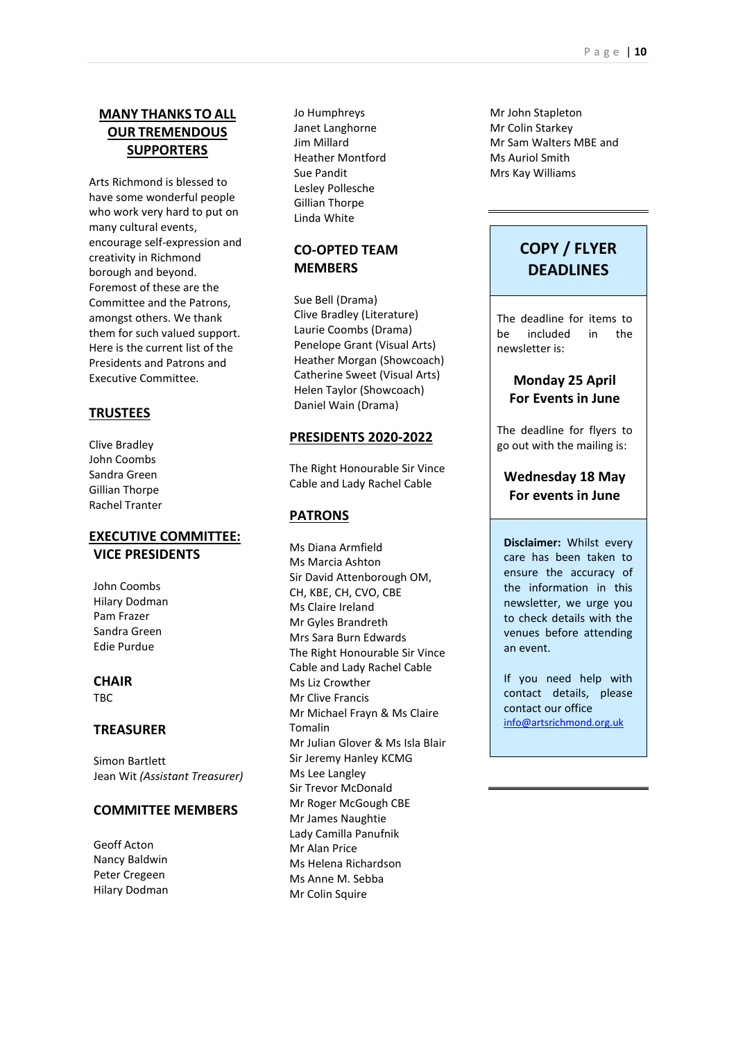## **MANY THANKS TO ALL OUR TREMENDOUS SUPPORTERS**

Arts Richmond is blessed to have some wonderful people who work very hard to put on many cultural events, encourage self-expression and creativity in Richmond borough and beyond. Foremost of these are the Committee and the Patrons, amongst others. We thank them for such valued support. Here is the current list of the Presidents and Patrons and Executive Committee.

#### **TRUSTEES**

Clive Bradley John Coombs Sandra Green Gillian Thorpe Rachel Tranter

#### **EXECUTIVE COMMITTEE: VICE PRESIDENTS**

John Coombs Hilary Dodman Pam Frazer Sandra Green Edie Purdue

#### **CHAIR** TBC

## **TREASURER**

Simon Bartlett Jean Wit *(Assistant Treasurer)*

#### **COMMITTEE MEMBERS**

Geoff Acton Nancy Baldwin Peter Cregeen Hilary Dodman Jo Humphreys Janet Langhorne Jim Millard Heather Montford Sue Pandit Lesley Pollesche Gillian Thorpe Linda White

## **CO-OPTED TEAM MEMBERS**

Sue Bell (Drama) Clive Bradley (Literature) Laurie Coombs (Drama) Penelope Grant (Visual Arts) Heather Morgan (Showcoach) Catherine Sweet (Visual Arts) Helen Taylor (Showcoach) Daniel Wain (Drama)

#### **PRESIDENTS 2020-2022**

The Right Honourable Sir Vince Cable and Lady Rachel Cable

#### **PATRONS**

Ms Diana Armfield Ms Marcia Ashton Sir David Attenborough OM, CH, KBE, CH, CVO, CBE Ms Claire Ireland Mr Gyles Brandreth Mrs Sara Burn Edwards The Right Honourable Sir Vince Cable and Lady Rachel Cable Ms Liz Crowther Mr Clive Francis Mr Michael Frayn & Ms Claire Tomalin Mr Julian Glover & Ms Isla Blair Sir Jeremy Hanley KCMG Ms Lee Langley Sir Trevor McDonald Mr Roger McGough CBE Mr James Naughtie Lady Camilla Panufnik Mr Alan Price Ms Helena Richardson Ms Anne M. Sebba Mr Colin Squire

Mr John Stapleton Mr Colin Starkey Mr Sam Walters MBE and Ms Auriol Smith Mrs Kay Williams

## **COPY / FLYER DEADLINES**

The deadline for items to be included in the newsletter is:

## **Monday 25 April For Events in June**

The deadline for flyers to go out with the mailing is:

## **Wednesday 18 May For events in June**

**Disclaimer:** Whilst every care has been taken to ensure the accuracy of the information in this newsletter, we urge you to check details with the venues before attending an event.

If you need help with contact details, please contact our office [info@artsrichmond.org.uk](mailto:info@artsrichmond.org.uk)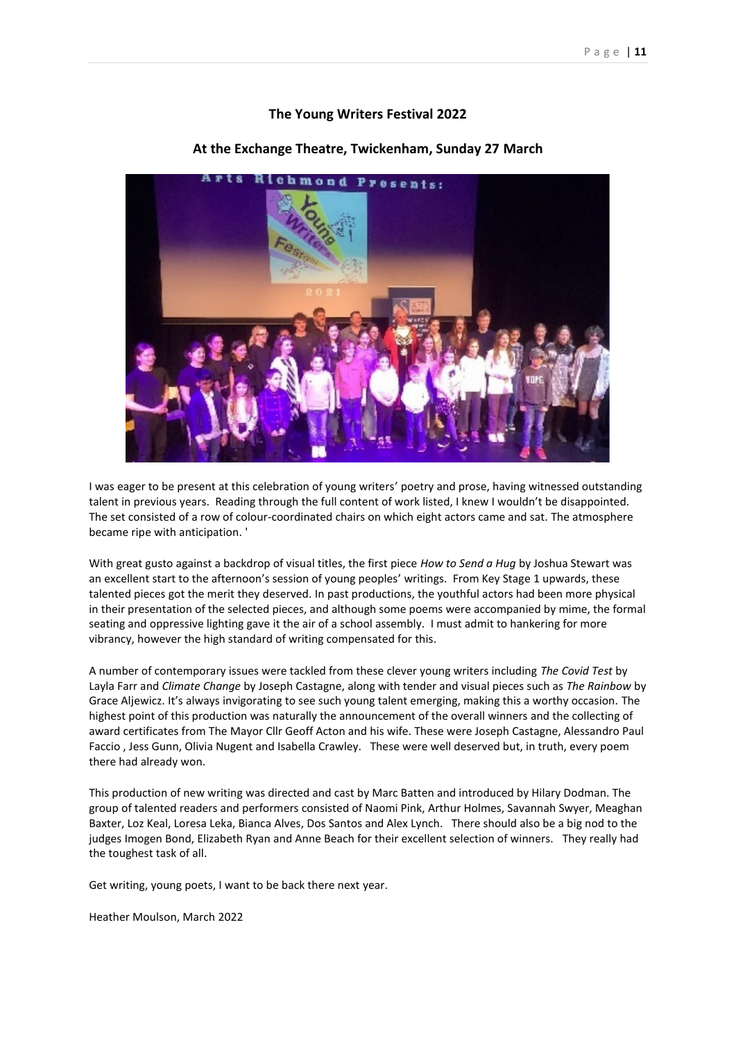#### **The Young Writers Festival 2022**



#### **At the Exchange Theatre, Twickenham, Sunday 27 March**

I was eager to be present at this celebration of young writers' poetry and prose, having witnessed outstanding talent in previous years. Reading through the full content of work listed, I knew I wouldn't be disappointed. The set consisted of a row of colour-coordinated chairs on which eight actors came and sat. The atmosphere became ripe with anticipation. '

With great gusto against a backdrop of visual titles, the first piece *How to Send a Hug* by Joshua Stewart was an excellent start to the afternoon's session of young peoples' writings. From Key Stage 1 upwards, these talented pieces got the merit they deserved. In past productions, the youthful actors had been more physical in their presentation of the selected pieces, and although some poems were accompanied by mime, the formal seating and oppressive lighting gave it the air of a school assembly. I must admit to hankering for more vibrancy, however the high standard of writing compensated for this.

A number of contemporary issues were tackled from these clever young writers including *The Covid Test* by Layla Farr and *Climate Change* by Joseph Castagne, along with tender and visual pieces such as *The Rainbow* by Grace Aljewicz. It's always invigorating to see such young talent emerging, making this a worthy occasion. The highest point of this production was naturally the announcement of the overall winners and the collecting of award certificates from The Mayor Cllr Geoff Acton and his wife. These were Joseph Castagne, Alessandro Paul Faccio , Jess Gunn, Olivia Nugent and Isabella Crawley. These were well deserved but, in truth, every poem there had already won.

This production of new writing was directed and cast by Marc Batten and introduced by Hilary Dodman. The group of talented readers and performers consisted of Naomi Pink, Arthur Holmes, Savannah Swyer, Meaghan Baxter, Loz Keal, Loresa Leka, Bianca Alves, Dos Santos and Alex Lynch. There should also be a big nod to the judges Imogen Bond, Elizabeth Ryan and Anne Beach for their excellent selection of winners. They really had the toughest task of all.

Get writing, young poets, I want to be back there next year.

Heather Moulson, March 2022